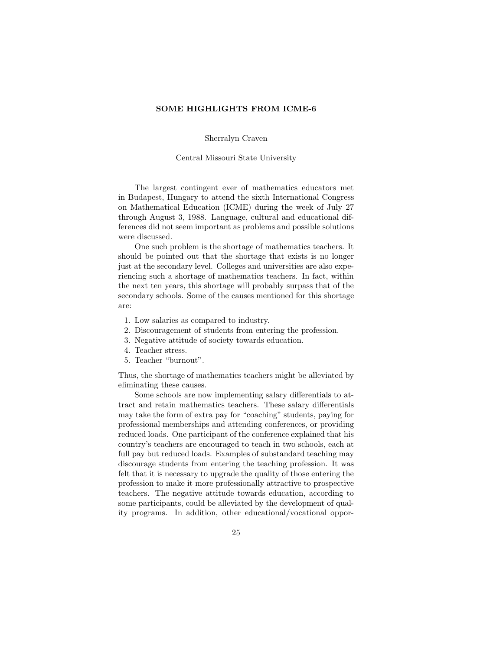## SOME HIGHLIGHTS FROM ICME-6

Sherralyn Craven

Central Missouri State University

The largest contingent ever of mathematics educators met in Budapest, Hungary to attend the sixth International Congress on Mathematical Education (ICME) during the week of July 27 through August 3, 1988. Language, cultural and educational differences did not seem important as problems and possible solutions were discussed.

One such problem is the shortage of mathematics teachers. It should be pointed out that the shortage that exists is no longer just at the secondary level. Colleges and universities are also experiencing such a shortage of mathematics teachers. In fact, within the next ten years, this shortage will probably surpass that of the secondary schools. Some of the causes mentioned for this shortage are:

- 1. Low salaries as compared to industry.
- 2. Discouragement of students from entering the profession.
- 3. Negative attitude of society towards education.
- 4. Teacher stress.
- 5. Teacher "burnout".

Thus, the shortage of mathematics teachers might be alleviated by eliminating these causes.

Some schools are now implementing salary differentials to attract and retain mathematics teachers. These salary differentials may take the form of extra pay for "coaching" students, paying for professional memberships and attending conferences, or providing reduced loads. One participant of the conference explained that his country's teachers are encouraged to teach in two schools, each at full pay but reduced loads. Examples of substandard teaching may discourage students from entering the teaching profession. It was felt that it is necessary to upgrade the quality of those entering the profession to make it more professionally attractive to prospective teachers. The negative attitude towards education, according to some participants, could be alleviated by the development of quality programs. In addition, other educational/vocational oppor-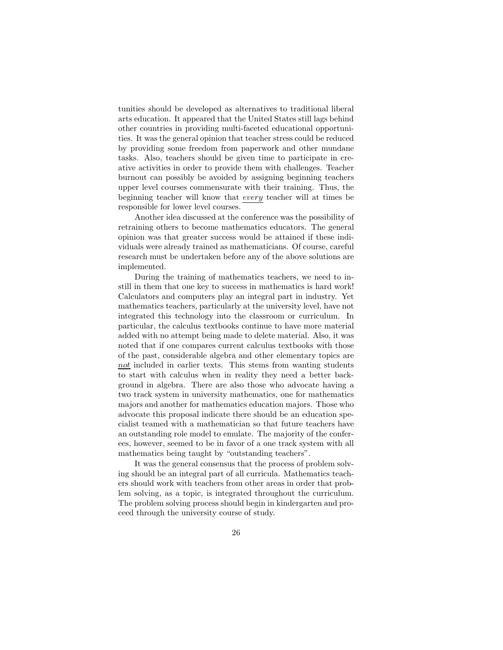tunities should be developed as alternatives to traditional liberal arts education. It appeared that the United States still lags behind other countries in providing multi-faceted educational opportunities. It was the general opinion that teacher stress could be reduced by providing some freedom from paperwork and other mundane tasks. Also, teachers should be given time to participate in creative activities in order to provide them with challenges. Teacher burnout can possibly be avoided by assigning beginning teachers upper level courses commensurate with their training. Thus, the beginning teacher will know that every teacher will at times be responsible for lower level courses.

Another idea discussed at the conference was the possibility of retraining others to become mathematics educators. The general opinion was that greater success would be attained if these individuals were already trained as mathematicians. Of course, careful research must be undertaken before any of the above solutions are implemented.

During the training of mathematics teachers, we need to instill in them that one key to success in mathematics is hard work! Calculators and computers play an integral part in industry. Yet mathematics teachers, particularly at the university level, have not integrated this technology into the classroom or curriculum. In particular, the calculus textbooks continue to have more material added with no attempt being made to delete material. Also, it was noted that if one compares current calculus textbooks with those of the past, considerable algebra and other elementary topics are not included in earlier texts. This stems from wanting students to start with calculus when in reality they need a better background in algebra. There are also those who advocate having a two track system in university mathematics, one for mathematics majors and another for mathematics education majors. Those who advocate this proposal indicate there should be an education specialist teamed with a mathematician so that future teachers have an outstanding role model to emulate. The majority of the conferees, however, seemed to be in favor of a one track system with all mathematics being taught by "outstanding teachers".

It was the general consensus that the process of problem solving should be an integral part of all curricula. Mathematics teachers should work with teachers from other areas in order that problem solving, as a topic, is integrated throughout the curriculum. The problem solving process should begin in kindergarten and proceed through the university course of study.